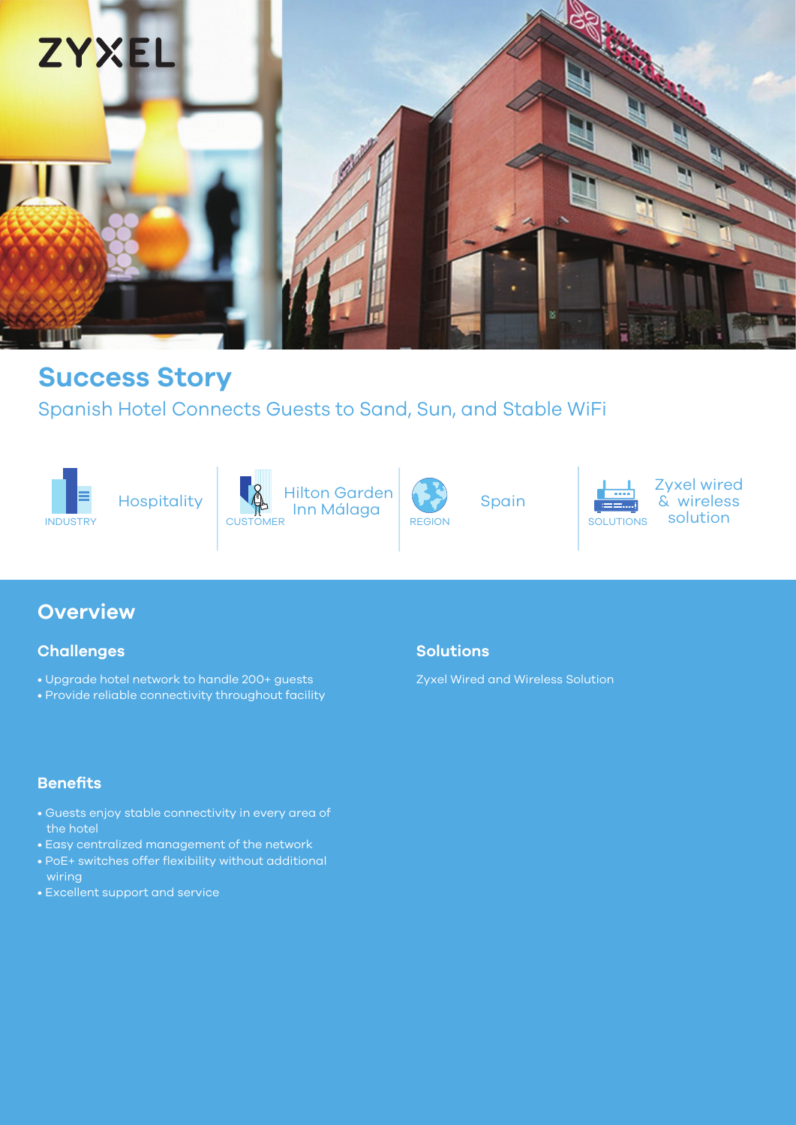

# **Success Story**

## Spanish Hotel Connects Guests to Sand, Sun, and Stable WiFi





INDUSTRY SOLUTIONS CUSTOMER ITITI MUTULUS REGION REGION SOLUTIONS SOLUTIONS Hilton Garden Inn Málaga CUSTOMER **REGION** REGION SOLUT



Spain



Zyxel wired & wireless

## **Overview**

## **Challenges**

- Upgrade hotel network to handle 200+ guests
- Provide reliable connectivity throughout facility

## **Benefits**

- Guests enjoy stable connectivity in every area of the hotel
- Easy centralized management of the network
- PoE+ switches offer flexibility without additional wiring
- Excellent support and service

## **Solutions**

Zyxel Wired and Wireless Solution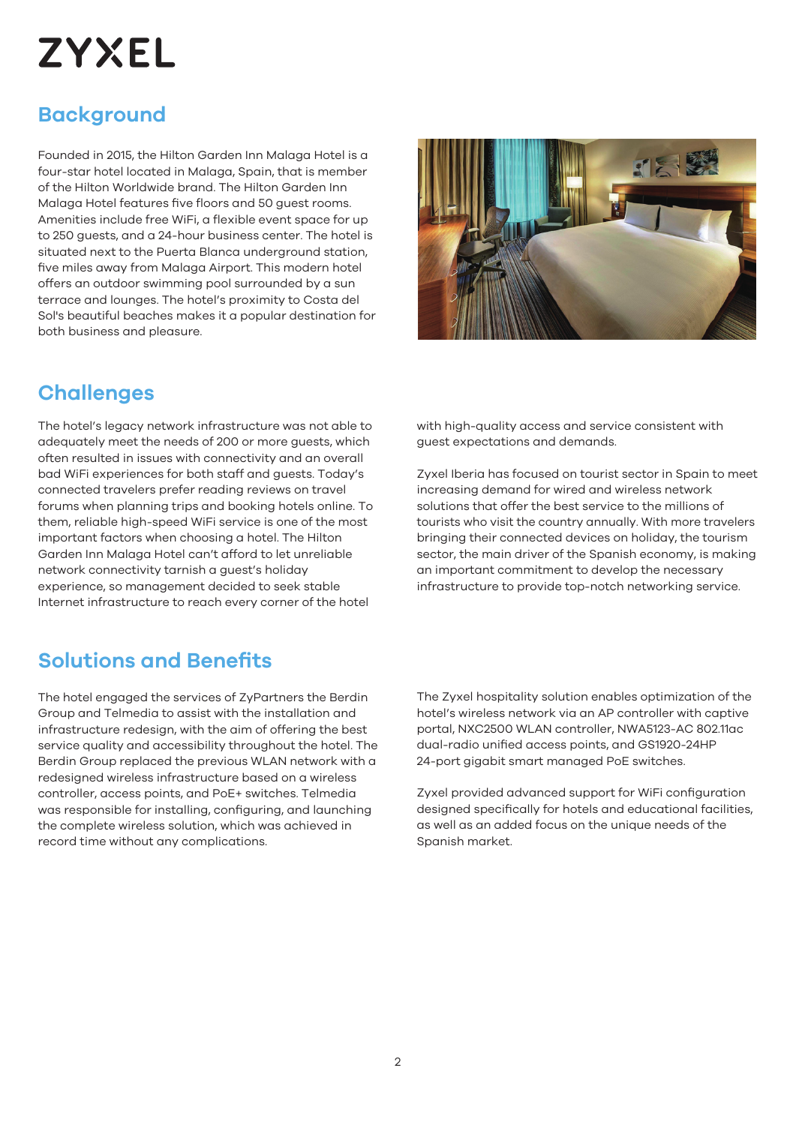# **ZYXEL**

# **Background**

Founded in 2015, the Hilton Garden Inn Malaga Hotel is a four-star hotel located in Malaga, Spain, that is member of the Hilton Worldwide brand. The Hilton Garden Inn Malaga Hotel features five floors and 50 guest rooms. Amenities include free WiFi, a flexible event space for up to 250 guests, and a 24-hour business center. The hotel is situated next to the Puerta Blanca underground station, five miles away from Malaga Airport. This modern hotel offers an outdoor swimming pool surrounded by a sun terrace and lounges. The hotel's proximity to Costa del Sol's beautiful beaches makes it a popular destination for both business and pleasure.

## **Challenges**

The hotel's legacy network infrastructure was not able to adequately meet the needs of 200 or more guests, which often resulted in issues with connectivity and an overall bad WiFi experiences for both staff and guests. Today's connected travelers prefer reading reviews on travel forums when planning trips and booking hotels online. To them, reliable high-speed WiFi service is one of the most important factors when choosing a hotel. The Hilton Garden Inn Malaga Hotel can't afford to let unreliable network connectivity tarnish a guest's holiday experience, so management decided to seek stable Internet infrastructure to reach every corner of the hotel



with high-quality access and service consistent with guest expectations and demands.

Zyxel Iberia has focused on tourist sector in Spain to meet increasing demand for wired and wireless network solutions that offer the best service to the millions of tourists who visit the country annually. With more travelers bringing their connected devices on holiday, the tourism sector, the main driver of the Spanish economy, is making an important commitment to develop the necessary infrastructure to provide top-notch networking service.

## **Solutions and Benefits**

The hotel engaged the services of ZyPartners the Berdin Group and Telmedia to assist with the installation and infrastructure redesign, with the aim of offering the best service quality and accessibility throughout the hotel. The Berdin Group replaced the previous WLAN network with a redesigned wireless infrastructure based on a wireless controller, access points, and PoE+ switches. Telmedia was responsible for installing, configuring, and launching the complete wireless solution, which was achieved in record time without any complications.

The Zyxel hospitality solution enables optimization of the hotel's wireless network via an AP controller with captive portal, NXC2500 WLAN controller, NWA5123-AC 802.11ac dual-radio unified access points, and GS1920-24HP 24-port gigabit smart managed PoE switches.

Zyxel provided advanced support for WiFi configuration designed specifically for hotels and educational facilities, as well as an added focus on the unique needs of the Spanish market.